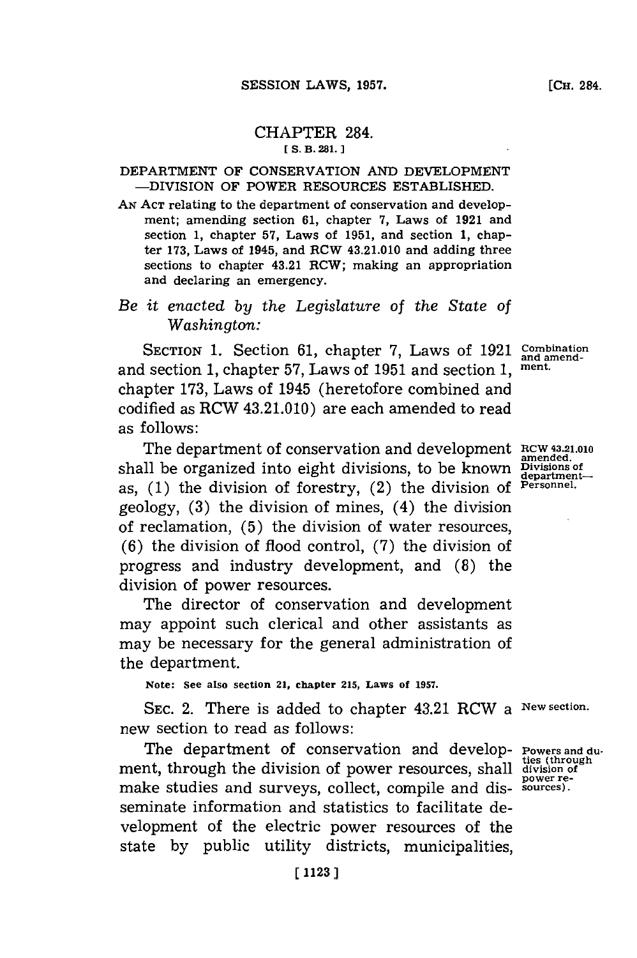# CHAPTER 284.

## **[ S. B. 281.**

### DEPARTMENT OF CONSERVATION **AND DEVELOPMENT** -DIVISION OF POWER **RESOURCES ESTABLISHED.**

**AN ACT** relating to the department of conservation and development; amending section **61,** chapter **7, Laws of 1921 and** section **1,** chapter **57,** Laws of **1951,** and section **1,** chapter **173,** Laws of 1945, and RCW 43.21.010 and adding three sections to chapter 43.21 RCW; making an appropriation and declaring an emergency.

# *Be it enacted by the Legislature* of *the State of Washington:*

SECTION 1. Section 61, chapter 7, Laws of 1921 Combination and section **1,** chapter **57,** Laws of **1951** and section **1, ment.** chapter **173,** Laws of 1945 (heretofore combined and codified as RCW 43.21.010) are each amended to read as follows:

The department of conservation and development **RCW 43.21.010** shall be organized into eight divisions, to be known **Divisions** of as, **(1)** the division of forestry, (2) the division of **Personnel.** geology, **(3)** the division of mines, (4) the division of reclamation, **(5)** the division of water resources, **(6)** the division of flood control, **(7)** the division of progress and industry development, and **(8)** the division of power resources.

The director of conservation and development may appoint such clerical and other assistants as may be necessary for the general administration of the department.

**Note: See also section 21, chapter 215, Laws of 1957.**

SEC. 2. There is added to chapter 43.21 RCW a **New section.** new section to read as follows:

The department of conservation and develop- **Powers and duties (through** ment, through the division of power resources, shall **division of** make studies and surveys, collect, compile and dis- **sources).** seminate information and statistics to facilitate development of the electric power resources of the state **by** public utility districts, municipalities,

**power re-**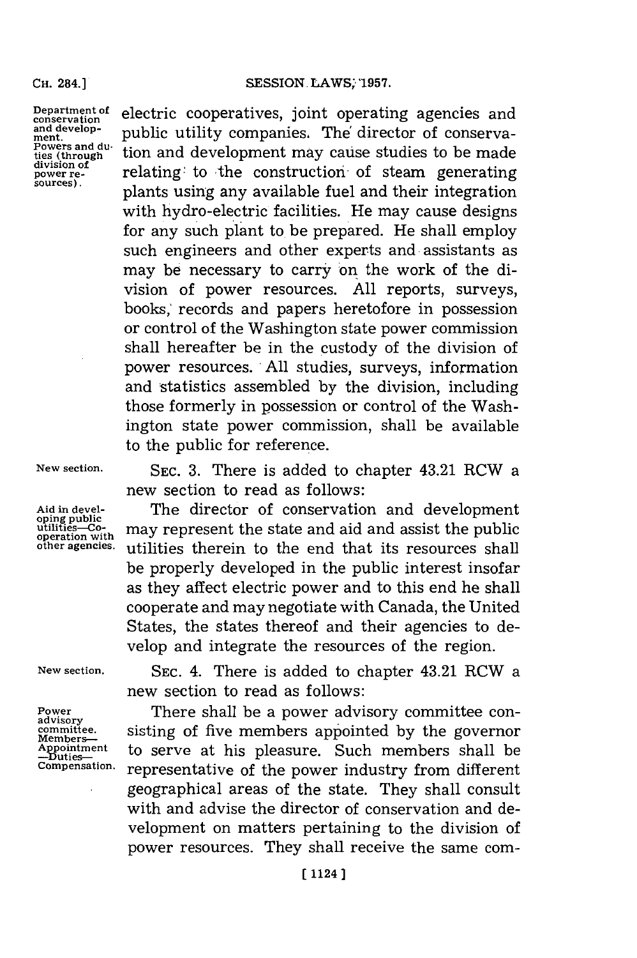#### **CH.** 284.]

**Department of** electric cooperatives, joint operating agencies and and develop-<br>and develop-<br> $\frac{1}{2}$  multiply attility companies. The director of conservation and develop-<br>ment.<br>Powers and du<sub>ttin</sub> and development means exists the director of conserva-<br>powers and du<sub>ttin</sub> and development means exists the director of Powers and du<sub>rsel</sub> tion and development may cause studies to be made division of division of<br>power re-<br>sources). <br>plants using any available fuel and their integration with hydro-electric facilities. He may cause designs for any such plant to be prepared. He shall employ such engineers and other experts and assistants as may be necessary to carry on the work of the division of power resources. **All** reports, surveys, books,' records and papers heretofore in possession or control of the Washington state power commission shall hereafter be in the custody of the division of power resources. **,All** studies, surveys, information and statistics assembled **by** the division, including those formerly in possession or control of the Washington state power commission, shall be available to the public for reference.

**New section. SEC. 3.** There is added to chapter 43.21 RCW a new section to read as follows:

Aid in devel-<br> **Aid in development**<br> **Aid in development**<br> **Aid in development**<br> **Aid in development**<br> **Aid in development**<br> **Aid in development**<br> **Aid and assist the public** will it is the may represent the state and aid and assist the public operation with<br>operation with<br>other agencies. utilities therein to the end that its resources shall **other agencies.** utilities therein to the end that its resources shall be properly developed in the public interest insofar as they affect electric power and to this end he shall cooperate and may negotiate with Canada, the United States, the states thereof and their agencies to develop and integrate the resources of the region.

**New section. SEC.** 4. There is added to chapter 43.21 RCW a new section to read as follows:

Power **There shall be a power advisory committee con-**<br>advisory **committee.** sisting of five members appointed **by** the governor Appointment to serve at his pleasure. Such members shall be  $\frac{\text{L}_{\text{D}}}{\text{Comperation}}$  representative of the nower industry from different **Compensation.** representative of the power industry from different geographical areas of the state. They shall consult with and advise the director of conservation and development on matters pertaining to the division of power resources. They shall receive the same com